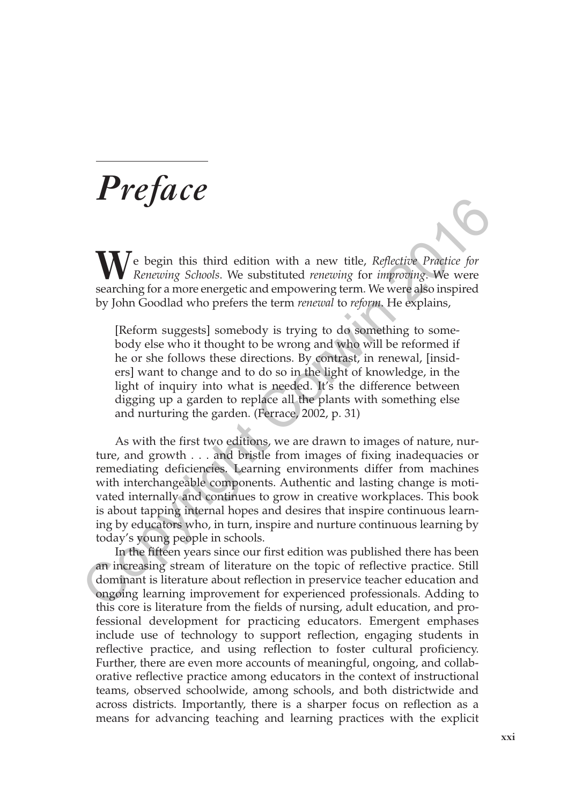## *Preface*

**W**e begin this third edition with a new title, *Reflective Practice for Renewing Schools*. We substituted *renewing* for *improving*. We were searching for a more energetic and empowering term. We were also inspired by John Goodlad who prefers the term *renewal* to *reform*. He explains,

[Reform suggests] somebody is trying to do something to somebody else who it thought to be wrong and who will be reformed if he or she follows these directions. By contrast, in renewal, [insiders] want to change and to do so in the light of knowledge, in the light of inquiry into what is needed. It's the difference between digging up a garden to replace all the plants with something else and nurturing the garden. (Ferrace, 2002, p. 31)

As with the first two editions, we are drawn to images of nature, nurture, and growth . . . and bristle from images of fixing inadequacies or remediating deficiencies. Learning environments differ from machines with interchangeable components. Authentic and lasting change is motivated internally and continues to grow in creative workplaces. This book is about tapping internal hopes and desires that inspire continuous learning by educators who, in turn, inspire and nurture continuous learning by today's young people in schools. **The set of the set of the set of the set of the set of the file on the set of the file one in the set of the set of the set of the set of the set of the set of the set of the set of the set of the set of the set of the s** 

In the fifteen years since our first edition was published there has been an increasing stream of literature on the topic of reflective practice. Still dominant is literature about reflection in preservice teacher education and ongoing learning improvement for experienced professionals. Adding to this core is literature from the fields of nursing, adult education, and professional development for practicing educators. Emergent emphases include use of technology to support reflection, engaging students in reflective practice, and using reflection to foster cultural proficiency. Further, there are even more accounts of meaningful, ongoing, and collaborative reflective practice among educators in the context of instructional teams, observed schoolwide, among schools, and both districtwide and across districts. Importantly, there is a sharper focus on reflection as a means for advancing teaching and learning practices with the explicit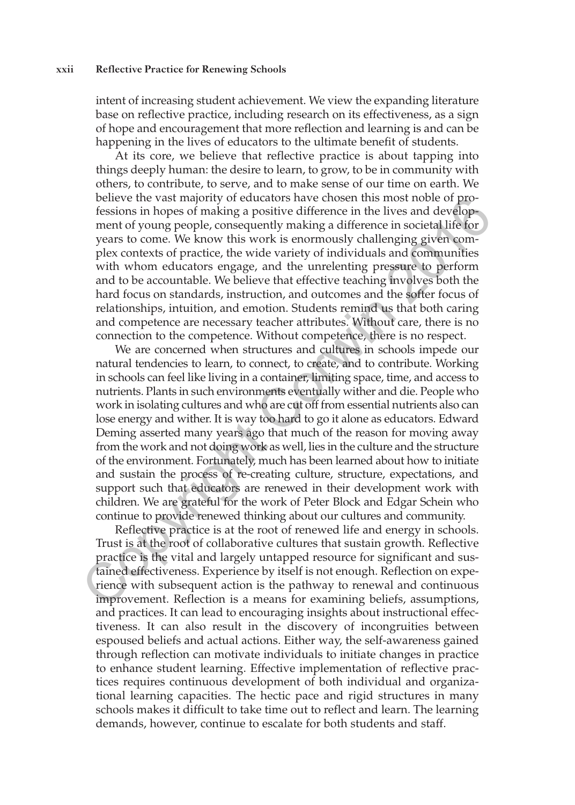intent of increasing student achievement. We view the expanding literature base on reflective practice, including research on its effectiveness, as a sign of hope and encouragement that more reflection and learning is and can be happening in the lives of educators to the ultimate benefit of students.

At its core, we believe that reflective practice is about tapping into things deeply human: the desire to learn, to grow, to be in community with others, to contribute, to serve, and to make sense of our time on earth. We believe the vast majority of educators have chosen this most noble of professions in hopes of making a positive difference in the lives and development of young people, consequently making a difference in societal life for years to come. We know this work is enormously challenging given complex contexts of practice, the wide variety of individuals and communities with whom educators engage, and the unrelenting pressure to perform and to be accountable. We believe that effective teaching involves both the hard focus on standards, instruction, and outcomes and the softer focus of relationships, intuition, and emotion. Students remind us that both caring and competence are necessary teacher attributes. Without care, there is no connection to the competence. Without competence, there is no respect.

We are concerned when structures and cultures in schools impede our natural tendencies to learn, to connect, to create, and to contribute. Working in schools can feel like living in a container, limiting space, time, and access to nutrients. Plants in such environments eventually wither and die. People who work in isolating cultures and who are cut off from essential nutrients also can lose energy and wither. It is way too hard to go it alone as educators. Edward Deming asserted many years ago that much of the reason for moving away from the work and not doing work as well, lies in the culture and the structure of the environment. Fortunately, much has been learned about how to initiate and sustain the process of re-creating culture, structure, expectations, and support such that educators are renewed in their development work with children. We are grateful for the work of Peter Block and Edgar Schein who continue to provide renewed thinking about our cultures and community. believe the vast many of educators have chosen thus most noble of processors in hopes of making a positive difference in the lives and development of young people, consequently making a difference in societal life for year

Reflective practice is at the root of renewed life and energy in schools. Trust is at the root of collaborative cultures that sustain growth. Reflective practice is the vital and largely untapped resource for significant and sustained effectiveness. Experience by itself is not enough. Reflection on experience with subsequent action is the pathway to renewal and continuous improvement. Reflection is a means for examining beliefs, assumptions, and practices. It can lead to encouraging insights about instructional effectiveness. It can also result in the discovery of incongruities between espoused beliefs and actual actions. Either way, the self-awareness gained through reflection can motivate individuals to initiate changes in practice to enhance student learning. Effective implementation of reflective practices requires continuous development of both individual and organizational learning capacities. The hectic pace and rigid structures in many schools makes it difficult to take time out to reflect and learn. The learning demands, however, continue to escalate for both students and staff.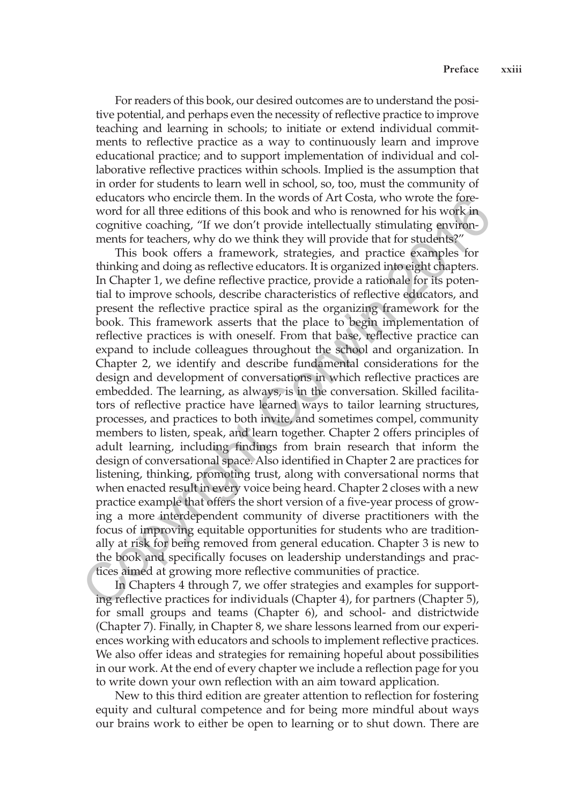For readers of this book, our desired outcomes are to understand the positive potential, and perhaps even the necessity of reflective practice to improve teaching and learning in schools; to initiate or extend individual commitments to reflective practice as a way to continuously learn and improve educational practice; and to support implementation of individual and collaborative reflective practices within schools. Implied is the assumption that in order for students to learn well in school, so, too, must the community of educators who encircle them. In the words of Art Costa, who wrote the foreword for all three editions of this book and who is renowned for his work in cognitive coaching, "If we don't provide intellectually stimulating environments for teachers, why do we think they will provide that for students?"

This book offers a framework, strategies, and practice examples for thinking and doing as reflective educators. It is organized into eight chapters. In Chapter 1, we define reflective practice, provide a rationale for its potential to improve schools, describe characteristics of reflective educators, and present the reflective practice spiral as the organizing framework for the book. This framework asserts that the place to begin implementation of reflective practices is with oneself. From that base, reflective practice can expand to include colleagues throughout the school and organization. In Chapter 2, we identify and describe fundamental considerations for the design and development of conversations in which reflective practices are embedded. The learning, as always, is in the conversation. Skilled facilitators of reflective practice have learned ways to tailor learning structures, processes, and practices to both invite, and sometimes compel, community members to listen, speak, and learn together. Chapter 2 offers principles of adult learning, including findings from brain research that inform the design of conversational space. Also identified in Chapter 2 are practices for listening, thinking, promoting trust, along with conversational norms that when enacted result in every voice being heard. Chapter 2 closes with a new practice example that offers the short version of a five-year process of growing a more interdependent community of diverse practitioners with the focus of improving equitable opportunities for students who are traditionally at risk for being removed from general education. Chapter 3 is new to the book and specifically focuses on leadership understandings and practices aimed at growing more reflective communities of practice. eductors who encrice them. In the words of Art Costa, who words the fore-<br>word for all three editions of this book and who is nenowed for his workin-<br>cognitive coaching, "If we don't provide intellectually stimulating envi

In Chapters 4 through 7, we offer strategies and examples for supporting reflective practices for individuals (Chapter 4), for partners (Chapter 5), for small groups and teams (Chapter 6), and school- and districtwide (Chapter 7). Finally, in Chapter 8, we share lessons learned from our experiences working with educators and schools to implement reflective practices. We also offer ideas and strategies for remaining hopeful about possibilities in our work. At the end of every chapter we include a reflection page for you to write down your own reflection with an aim toward application.

New to this third edition are greater attention to reflection for fostering equity and cultural competence and for being more mindful about ways our brains work to either be open to learning or to shut down. There are